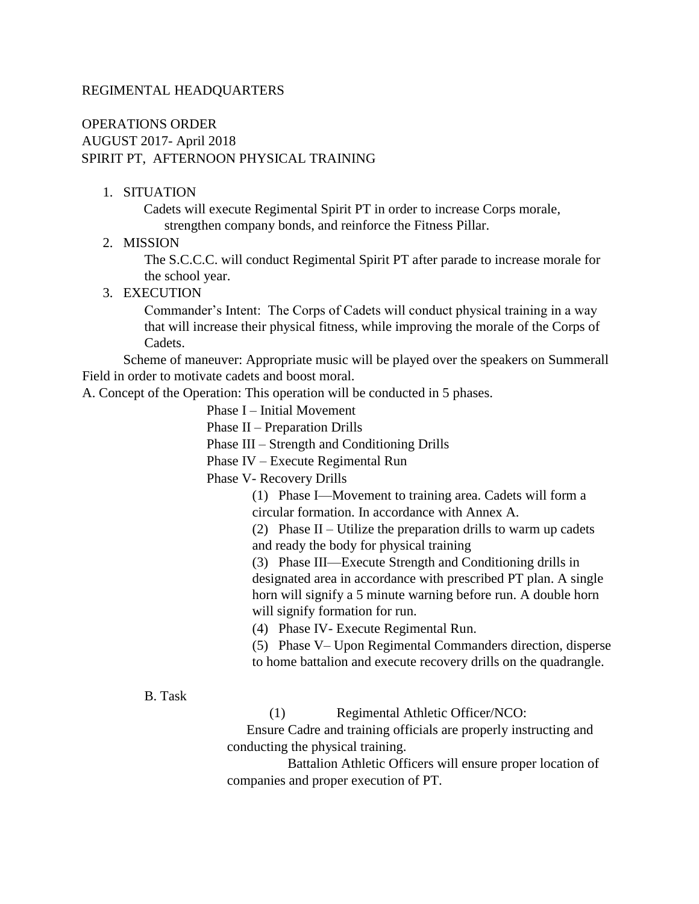#### REGIMENTAL HEADQUARTERS

### OPERATIONS ORDER AUGUST 2017- April 2018 SPIRIT PT, AFTERNOON PHYSICAL TRAINING

#### 1. SITUATION

Cadets will execute Regimental Spirit PT in order to increase Corps morale, strengthen company bonds, and reinforce the Fitness Pillar.

#### 2. MISSION

The S.C.C.C. will conduct Regimental Spirit PT after parade to increase morale for the school year.

#### 3. EXECUTION

Commander's Intent: The Corps of Cadets will conduct physical training in a way that will increase their physical fitness, while improving the morale of the Corps of Cadets.

Scheme of maneuver: Appropriate music will be played over the speakers on Summerall Field in order to motivate cadets and boost moral.

A. Concept of the Operation: This operation will be conducted in 5 phases.

Phase I – Initial Movement

Phase II – Preparation Drills

Phase III – Strength and Conditioning Drills

Phase IV – Execute Regimental Run

Phase V- Recovery Drills

(1) Phase I—Movement to training area. Cadets will form a circular formation. In accordance with Annex A.

(2) Phase II – Utilize the preparation drills to warm up cadets

and ready the body for physical training

(3) Phase III—Execute Strength and Conditioning drills in designated area in accordance with prescribed PT plan. A single horn will signify a 5 minute warning before run. A double horn will signify formation for run.

(4) Phase IV- Execute Regimental Run.

(5) Phase V– Upon Regimental Commanders direction, disperse to home battalion and execute recovery drills on the quadrangle.

B. Task

(1) Regimental Athletic Officer/NCO:

 Ensure Cadre and training officials are properly instructing and conducting the physical training.

 Battalion Athletic Officers will ensure proper location of companies and proper execution of PT.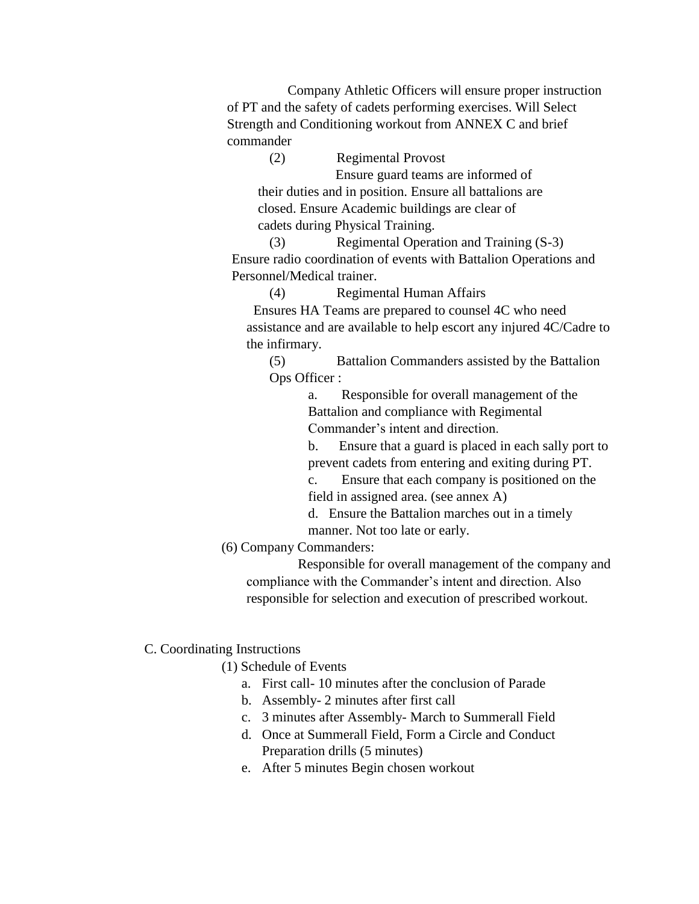Company Athletic Officers will ensure proper instruction of PT and the safety of cadets performing exercises. Will Select Strength and Conditioning workout from ANNEX C and brief commander

(2) Regimental Provost Ensure guard teams are informed of their duties and in position. Ensure all battalions are closed. Ensure Academic buildings are clear of cadets during Physical Training.

(3) Regimental Operation and Training (S-3) Ensure radio coordination of events with Battalion Operations and Personnel/Medical trainer.

(4) Regimental Human Affairs

 Ensures HA Teams are prepared to counsel 4C who need assistance and are available to help escort any injured 4C/Cadre to the infirmary.

(5) Battalion Commanders assisted by the Battalion Ops Officer :

> a. Responsible for overall management of the Battalion and compliance with Regimental Commander's intent and direction.

b. Ensure that a guard is placed in each sally port to prevent cadets from entering and exiting during PT.

c. Ensure that each company is positioned on the field in assigned area. (see annex A)

d. Ensure the Battalion marches out in a timely manner. Not too late or early.

(6) Company Commanders:

 Responsible for overall management of the company and compliance with the Commander's intent and direction. Also responsible for selection and execution of prescribed workout.

### C. Coordinating Instructions

(1) Schedule of Events

- a. First call- 10 minutes after the conclusion of Parade
- b. Assembly- 2 minutes after first call
- c. 3 minutes after Assembly- March to Summerall Field
- d. Once at Summerall Field, Form a Circle and Conduct Preparation drills (5 minutes)
- e. After 5 minutes Begin chosen workout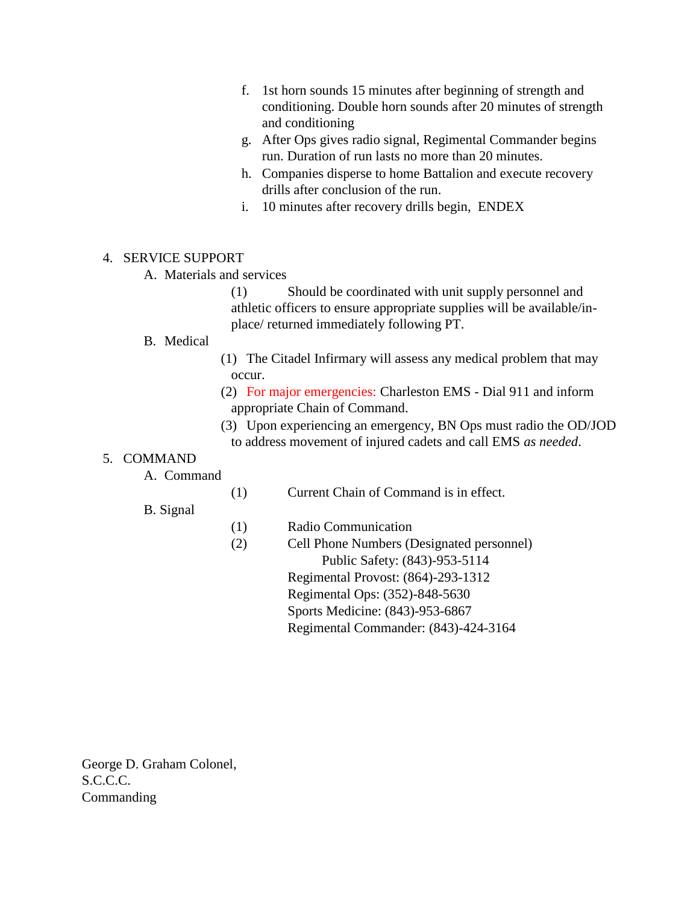- f. 1st horn sounds 15 minutes after beginning of strength and conditioning. Double horn sounds after 20 minutes of strength and conditioning
- g. After Ops gives radio signal, Regimental Commander begins run. Duration of run lasts no more than 20 minutes.
- h. Companies disperse to home Battalion and execute recovery drills after conclusion of the run.
- i. 10 minutes after recovery drills begin, ENDEX

#### 4. SERVICE SUPPORT

A. Materials and services

 (1) Should be coordinated with unit supply personnel and athletic officers to ensure appropriate supplies will be available/inplace/ returned immediately following PT.

#### B. Medical

- (1) The Citadel Infirmary will assess any medical problem that may occur.
- (2) For major emergencies: Charleston EMS Dial 911 and inform appropriate Chain of Command.
- (3) Upon experiencing an emergency, BN Ops must radio the OD/JOD to address movement of injured cadets and call EMS *as needed*.

#### 5. COMMAND

- A. Command
- (1) Current Chain of Command is in effect.

B. Signal

- (1) Radio Communication
- (2) Cell Phone Numbers (Designated personnel) Public Safety: (843)-953-5114 Regimental Provost: (864)-293-1312 Regimental Ops: (352)-848-5630 Sports Medicine: (843)-953-6867 Regimental Commander: (843)-424-3164

George D. Graham Colonel, S.C.C.C. Commanding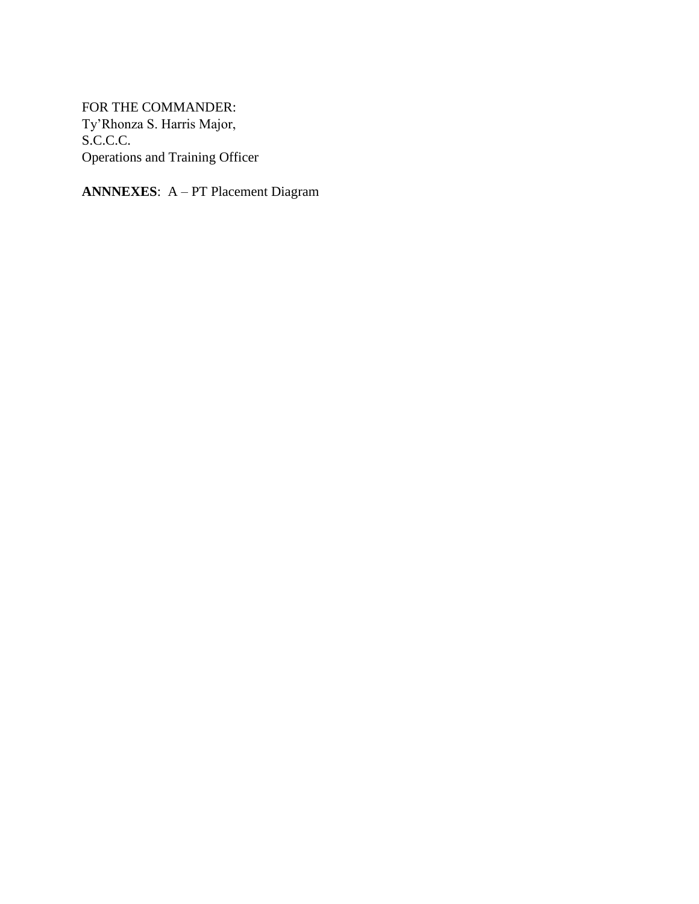FOR THE COMMANDER: Ty'Rhonza S. Harris Major, S.C.C.C. Operations and Training Officer

**ANNNEXES**: A – PT Placement Diagram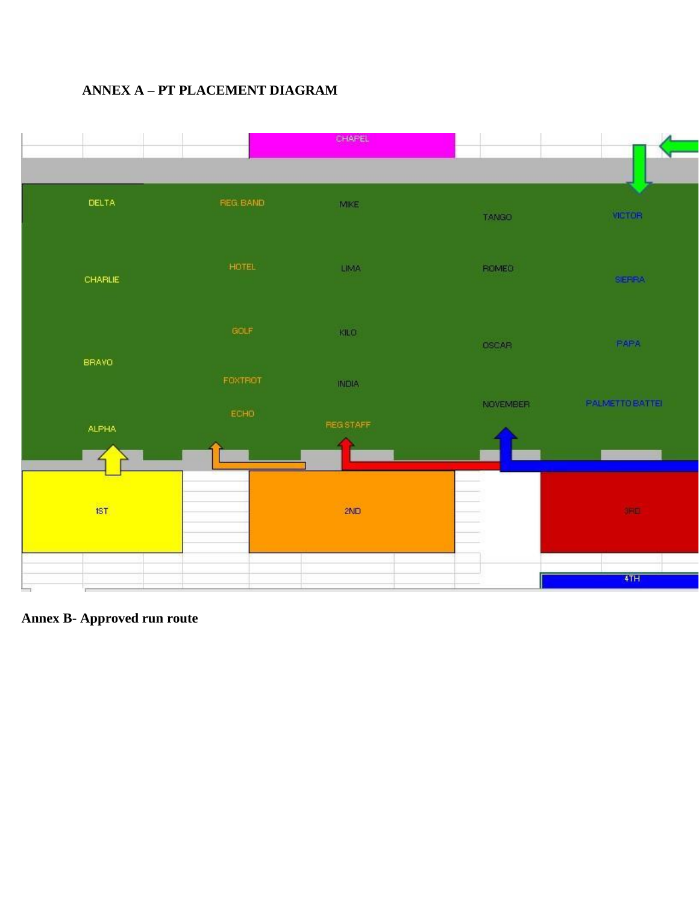# **ANNEX A – PT PLACEMENT DIAGRAM**



**Annex B- Approved run route**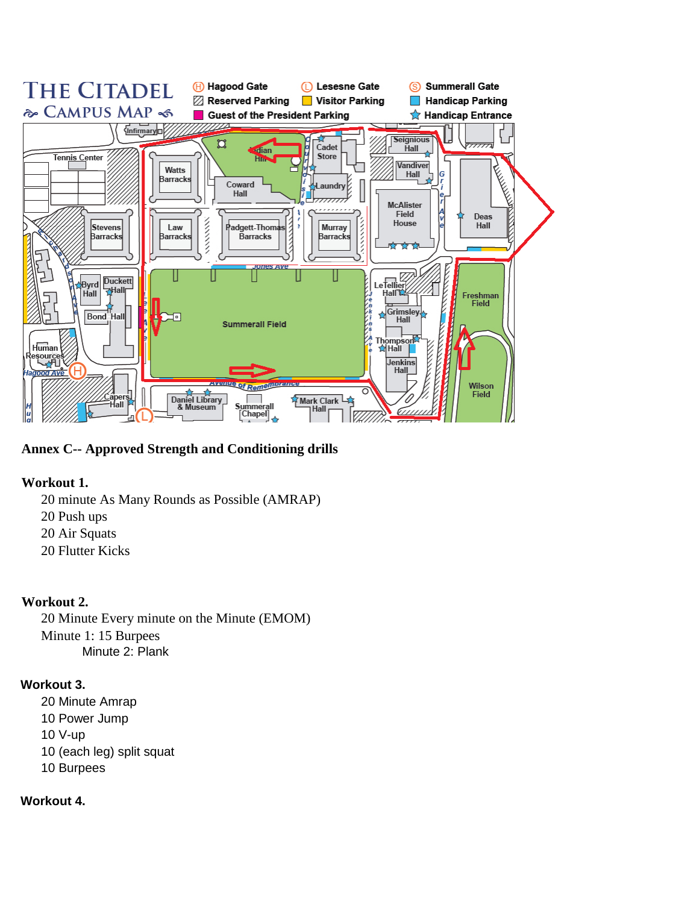

**Annex C-- Approved Strength and Conditioning drills**

### **Workout 1.**

- 20 minute As Many Rounds as Possible (AMRAP)
- 20 Push ups
- 20 Air Squats
- 20 Flutter Kicks

### **Workout 2.**

20 Minute Every minute on the Minute (EMOM) Minute 1: 15 Burpees Minute 2: Plank

### **Workout 3.**

20 Minute Amrap 10 Power Jump 10 V-up 10 (each leg) split squat 10 Burpees

# **Workout 4.**